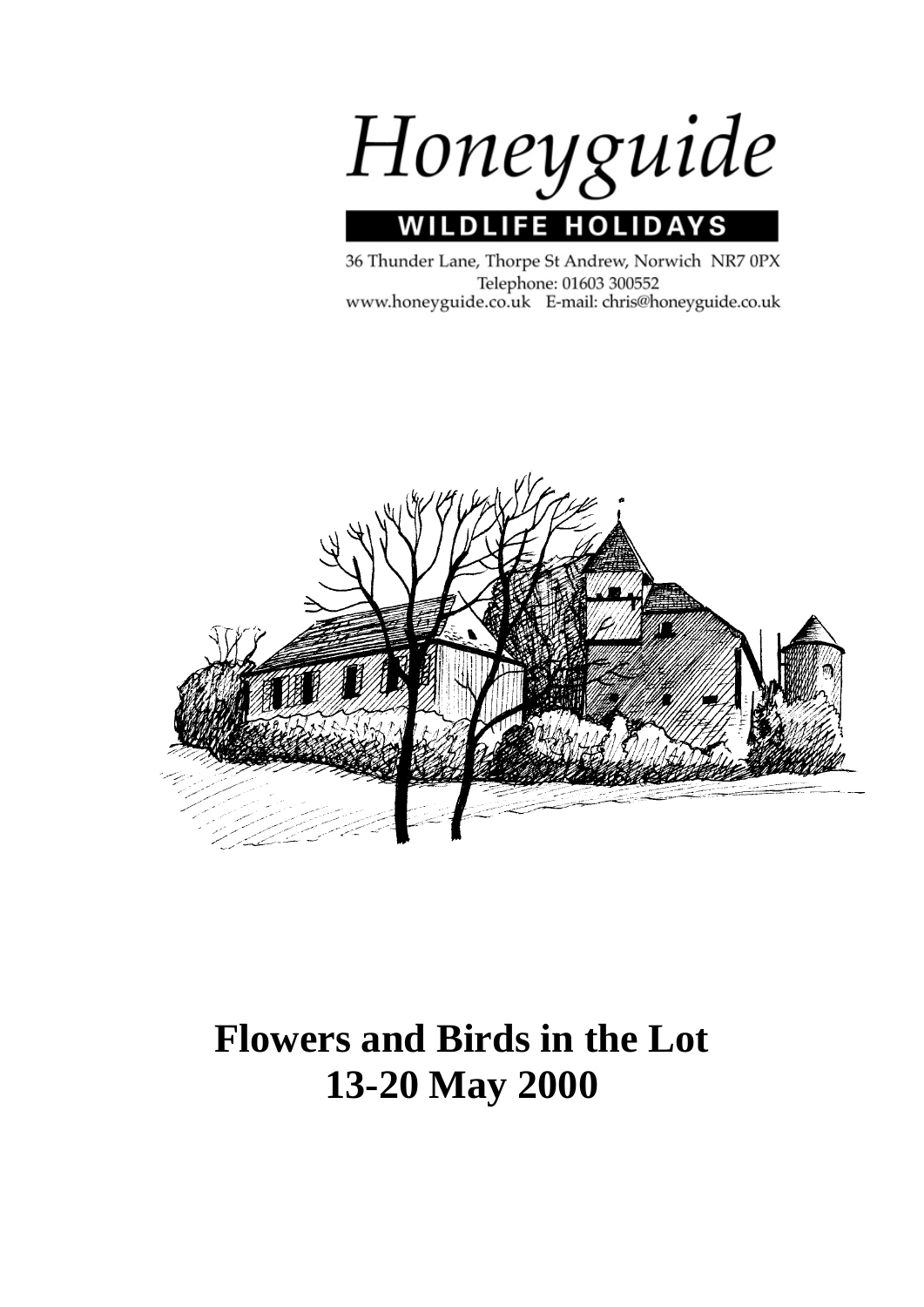

## **WILDLIFE HOLIDA** ΥS

36 Thunder Lane, Thorpe St Andrew, Norwich NR7 0PX Telephone: 01603 300552 www.honeyguide.co.uk E-mail: chris@honeyguide.co.uk



# **Flowers and Birds in the Lot 13-20 May 2000**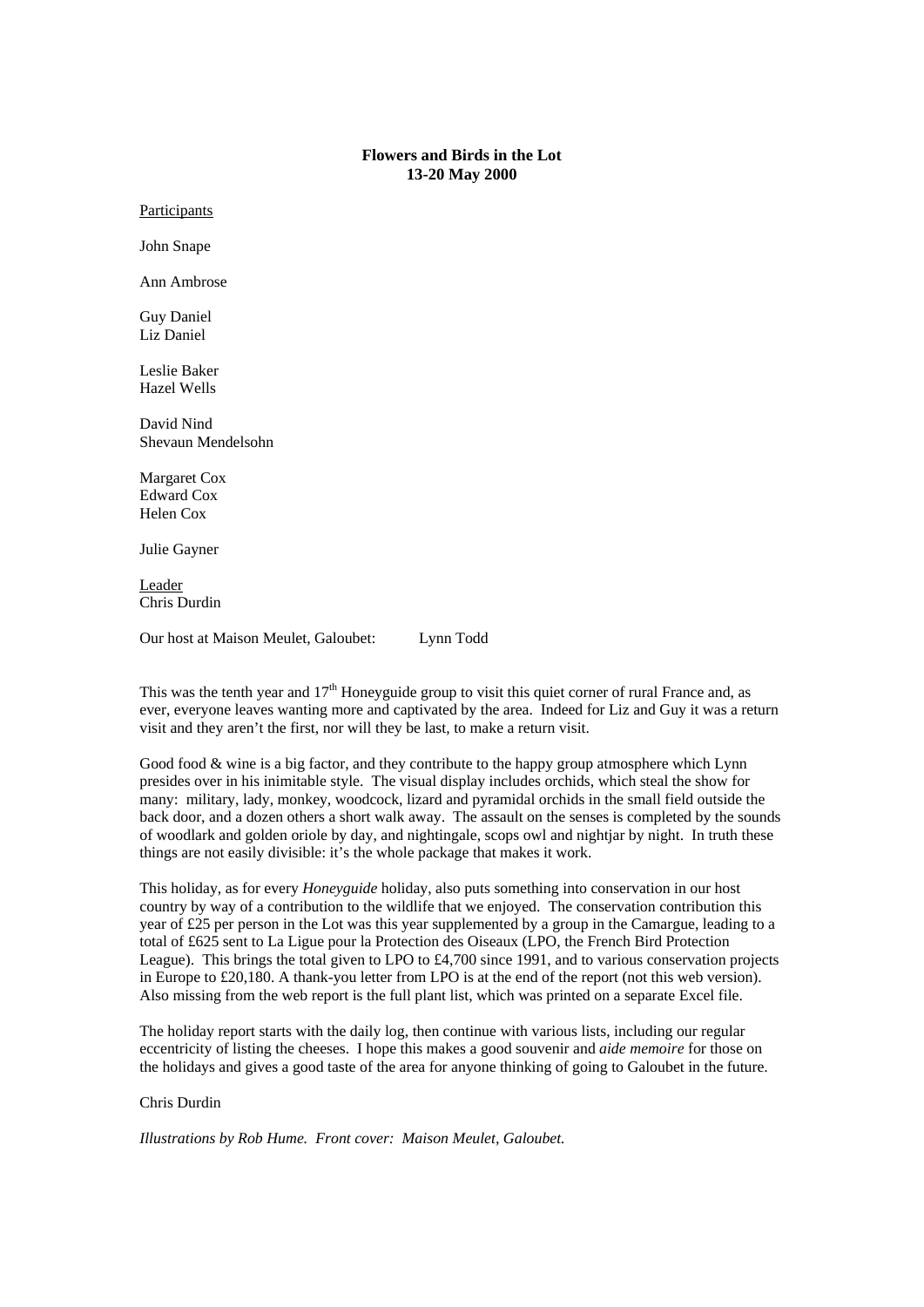# **Flowers and Birds in the Lot 13-20 May 2000**

**Participants** 

John Snape

Ann Ambrose

Guy Daniel Liz Daniel

Leslie Baker Hazel Wells

David Nind Shevaun Mendelsohn

Margaret Cox Edward Cox Helen Cox

Julie Gayner

Leader Chris Durdin

Our host at Maison Meulet, Galoubet: Lynn Todd

This was the tenth year and  $17<sup>th</sup>$  Honeyguide group to visit this quiet corner of rural France and, as ever, everyone leaves wanting more and captivated by the area. Indeed for Liz and Guy it was a return visit and they aren't the first, nor will they be last, to make a return visit.

Good food & wine is a big factor, and they contribute to the happy group atmosphere which Lynn presides over in his inimitable style. The visual display includes orchids, which steal the show for many: military, lady, monkey, woodcock, lizard and pyramidal orchids in the small field outside the back door, and a dozen others a short walk away. The assault on the senses is completed by the sounds of woodlark and golden oriole by day, and nightingale, scops owl and nightjar by night. In truth these things are not easily divisible: it's the whole package that makes it work.

This holiday, as for every *Honeyguide* holiday, also puts something into conservation in our host country by way of a contribution to the wildlife that we enjoyed. The conservation contribution this year of £25 per person in the Lot was this year supplemented by a group in the Camargue, leading to a total of £625 sent to La Ligue pour la Protection des Oiseaux (LPO, the French Bird Protection League). This brings the total given to LPO to £4,700 since 1991, and to various conservation projects in Europe to £20,180. A thank-you letter from LPO is at the end of the report (not this web version). Also missing from the web report is the full plant list, which was printed on a separate Excel file.

The holiday report starts with the daily log, then continue with various lists, including our regular eccentricity of listing the cheeses. I hope this makes a good souvenir and *aide memoire* for those on the holidays and gives a good taste of the area for anyone thinking of going to Galoubet in the future.

# Chris Durdin

*Illustrations by Rob Hume. Front cover: Maison Meulet, Galoubet.*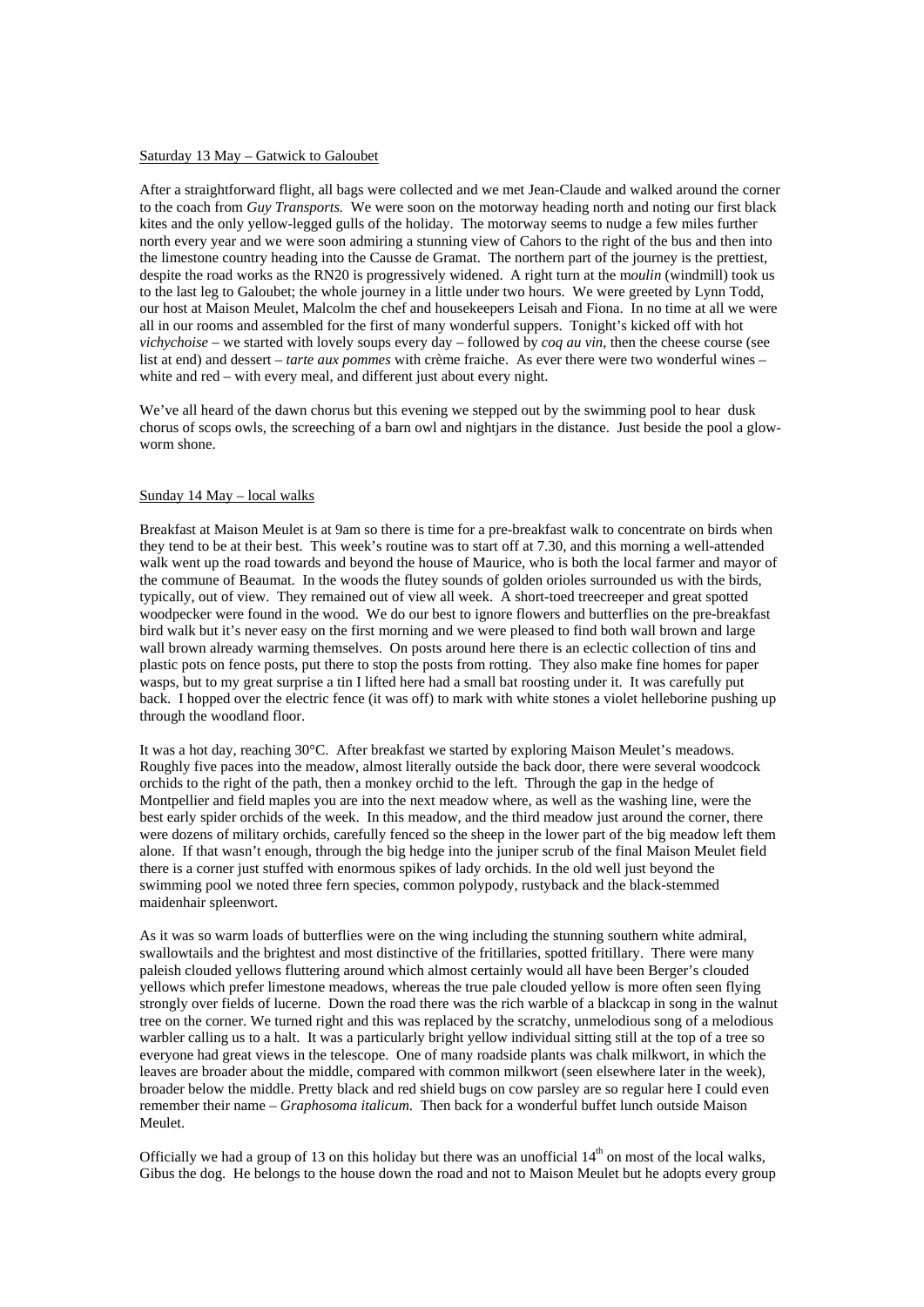#### Saturday 13 May – Gatwick to Galoubet

After a straightforward flight, all bags were collected and we met Jean-Claude and walked around the corner to the coach from *Guy Transports.* We were soon on the motorway heading north and noting our first black kites and the only yellow-legged gulls of the holiday. The motorway seems to nudge a few miles further north every year and we were soon admiring a stunning view of Cahors to the right of the bus and then into the limestone country heading into the Causse de Gramat. The northern part of the journey is the prettiest, despite the road works as the RN20 is progressively widened. A right turn at the m*oulin* (windmill) took us to the last leg to Galoubet; the whole journey in a little under two hours. We were greeted by Lynn Todd, our host at Maison Meulet, Malcolm the chef and housekeepers Leisah and Fiona. In no time at all we were all in our rooms and assembled for the first of many wonderful suppers. Tonight's kicked off with hot *vichychoise* – we started with lovely soups every day – followed by *coq au vin*, then the cheese course (see list at end) and dessert – *tarte aux pommes* with crème fraiche. As ever there were two wonderful wines – white and red – with every meal, and different just about every night.

We've all heard of the dawn chorus but this evening we stepped out by the swimming pool to hear dusk chorus of scops owls, the screeching of a barn owl and nightjars in the distance. Just beside the pool a glowworm shone.

## Sunday 14 May – local walks

Breakfast at Maison Meulet is at 9am so there is time for a pre-breakfast walk to concentrate on birds when they tend to be at their best. This week's routine was to start off at 7.30, and this morning a well-attended walk went up the road towards and beyond the house of Maurice, who is both the local farmer and mayor of the commune of Beaumat. In the woods the flutey sounds of golden orioles surrounded us with the birds, typically, out of view. They remained out of view all week. A short-toed treecreeper and great spotted woodpecker were found in the wood. We do our best to ignore flowers and butterflies on the pre-breakfast bird walk but it's never easy on the first morning and we were pleased to find both wall brown and large wall brown already warming themselves. On posts around here there is an eclectic collection of tins and plastic pots on fence posts, put there to stop the posts from rotting. They also make fine homes for paper wasps, but to my great surprise a tin I lifted here had a small bat roosting under it. It was carefully put back. I hopped over the electric fence (it was off) to mark with white stones a violet helleborine pushing up through the woodland floor.

It was a hot day, reaching 30°C. After breakfast we started by exploring Maison Meulet's meadows. Roughly five paces into the meadow, almost literally outside the back door, there were several woodcock orchids to the right of the path, then a monkey orchid to the left. Through the gap in the hedge of Montpellier and field maples you are into the next meadow where, as well as the washing line, were the best early spider orchids of the week. In this meadow, and the third meadow just around the corner, there were dozens of military orchids, carefully fenced so the sheep in the lower part of the big meadow left them alone. If that wasn't enough, through the big hedge into the juniper scrub of the final Maison Meulet field there is a corner just stuffed with enormous spikes of lady orchids. In the old well just beyond the swimming pool we noted three fern species, common polypody, rustyback and the black-stemmed maidenhair spleenwort.

As it was so warm loads of butterflies were on the wing including the stunning southern white admiral, swallowtails and the brightest and most distinctive of the fritillaries, spotted fritillary. There were many paleish clouded yellows fluttering around which almost certainly would all have been Berger's clouded yellows which prefer limestone meadows, whereas the true pale clouded yellow is more often seen flying strongly over fields of lucerne. Down the road there was the rich warble of a blackcap in song in the walnut tree on the corner. We turned right and this was replaced by the scratchy, unmelodious song of a melodious warbler calling us to a halt. It was a particularly bright yellow individual sitting still at the top of a tree so everyone had great views in the telescope. One of many roadside plants was chalk milkwort, in which the leaves are broader about the middle, compared with common milkwort (seen elsewhere later in the week), broader below the middle. Pretty black and red shield bugs on cow parsley are so regular here I could even remember their name – *Graphosoma italicum*. Then back for a wonderful buffet lunch outside Maison Meulet.

Officially we had a group of 13 on this holiday but there was an unofficial  $14<sup>th</sup>$  on most of the local walks, Gibus the dog. He belongs to the house down the road and not to Maison Meulet but he adopts every group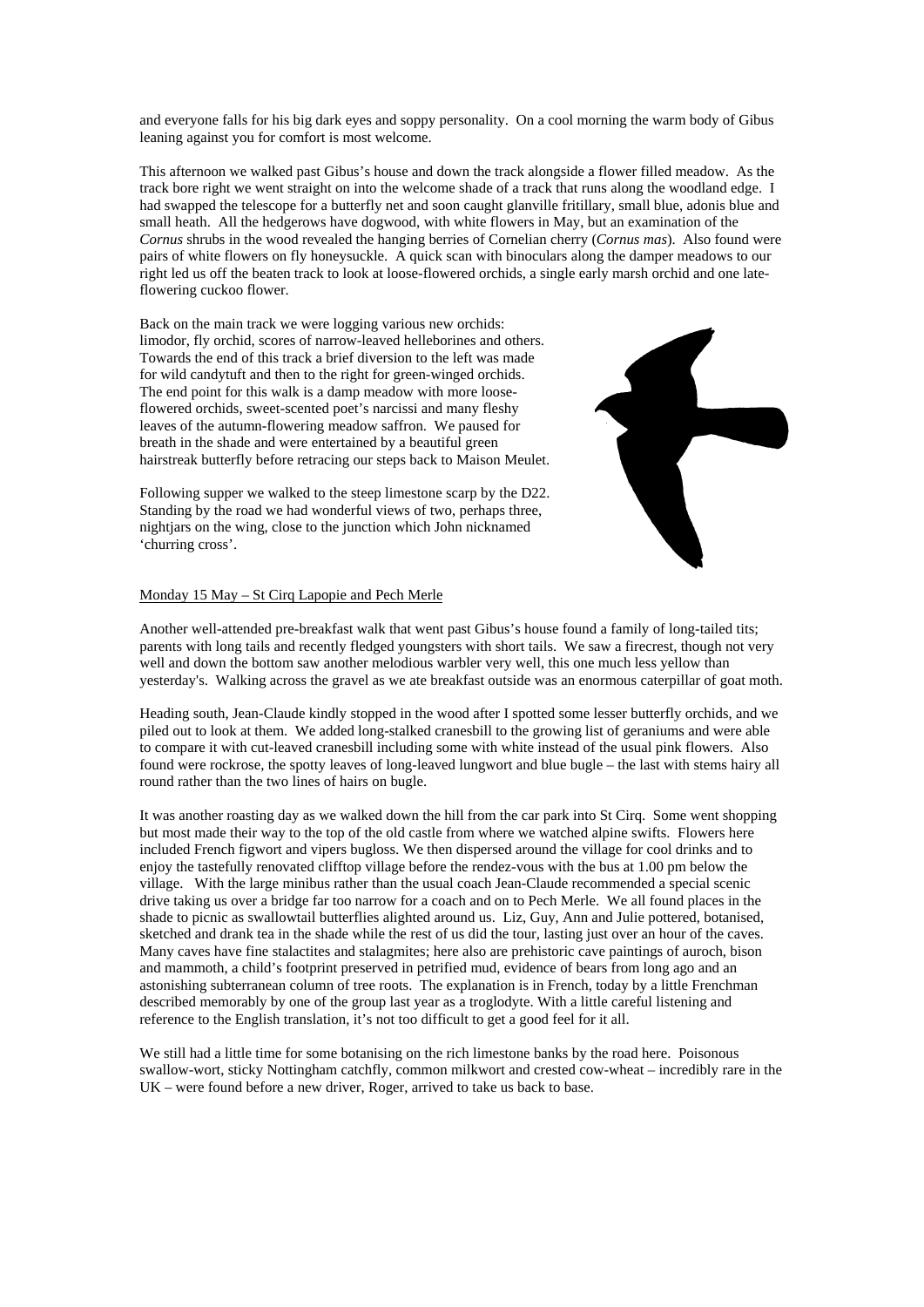and everyone falls for his big dark eyes and soppy personality. On a cool morning the warm body of Gibus leaning against you for comfort is most welcome.

This afternoon we walked past Gibus's house and down the track alongside a flower filled meadow. As the track bore right we went straight on into the welcome shade of a track that runs along the woodland edge. I had swapped the telescope for a butterfly net and soon caught glanville fritillary, small blue, adonis blue and small heath. All the hedgerows have dogwood, with white flowers in May, but an examination of the *Cornus* shrubs in the wood revealed the hanging berries of Cornelian cherry (*Cornus mas*). Also found were pairs of white flowers on fly honeysuckle. A quick scan with binoculars along the damper meadows to our right led us off the beaten track to look at loose-flowered orchids, a single early marsh orchid and one lateflowering cuckoo flower.

Back on the main track we were logging various new orchids: limodor, fly orchid, scores of narrow-leaved helleborines and others. Towards the end of this track a brief diversion to the left was made for wild candytuft and then to the right for green-winged orchids. The end point for this walk is a damp meadow with more looseflowered orchids, sweet-scented poet's narcissi and many fleshy leaves of the autumn-flowering meadow saffron. We paused for breath in the shade and were entertained by a beautiful green hairstreak butterfly before retracing our steps back to Maison Meulet.



Following supper we walked to the steep limestone scarp by the D22. Standing by the road we had wonderful views of two, perhaps three, nightjars on the wing, close to the junction which John nicknamed 'churring cross'.

## Monday 15 May – St Cirq Lapopie and Pech Merle

Another well-attended pre-breakfast walk that went past Gibus's house found a family of long-tailed tits; parents with long tails and recently fledged youngsters with short tails. We saw a firecrest, though not very well and down the bottom saw another melodious warbler very well, this one much less yellow than yesterday's. Walking across the gravel as we ate breakfast outside was an enormous caterpillar of goat moth.

Heading south, Jean-Claude kindly stopped in the wood after I spotted some lesser butterfly orchids, and we piled out to look at them. We added long-stalked cranesbill to the growing list of geraniums and were able to compare it with cut-leaved cranesbill including some with white instead of the usual pink flowers. Also found were rockrose, the spotty leaves of long-leaved lungwort and blue bugle – the last with stems hairy all round rather than the two lines of hairs on bugle.

It was another roasting day as we walked down the hill from the car park into St Cirq. Some went shopping but most made their way to the top of the old castle from where we watched alpine swifts. Flowers here included French figwort and vipers bugloss. We then dispersed around the village for cool drinks and to enjoy the tastefully renovated clifftop village before the rendez-vous with the bus at 1.00 pm below the village. With the large minibus rather than the usual coach Jean-Claude recommended a special scenic drive taking us over a bridge far too narrow for a coach and on to Pech Merle. We all found places in the shade to picnic as swallowtail butterflies alighted around us. Liz, Guy, Ann and Julie pottered, botanised, sketched and drank tea in the shade while the rest of us did the tour, lasting just over an hour of the caves. Many caves have fine stalactites and stalagmites; here also are prehistoric cave paintings of auroch, bison and mammoth, a child's footprint preserved in petrified mud, evidence of bears from long ago and an astonishing subterranean column of tree roots. The explanation is in French, today by a little Frenchman described memorably by one of the group last year as a troglodyte. With a little careful listening and reference to the English translation, it's not too difficult to get a good feel for it all.

We still had a little time for some botanising on the rich limestone banks by the road here. Poisonous swallow-wort, sticky Nottingham catchfly, common milkwort and crested cow-wheat – incredibly rare in the UK – were found before a new driver, Roger, arrived to take us back to base.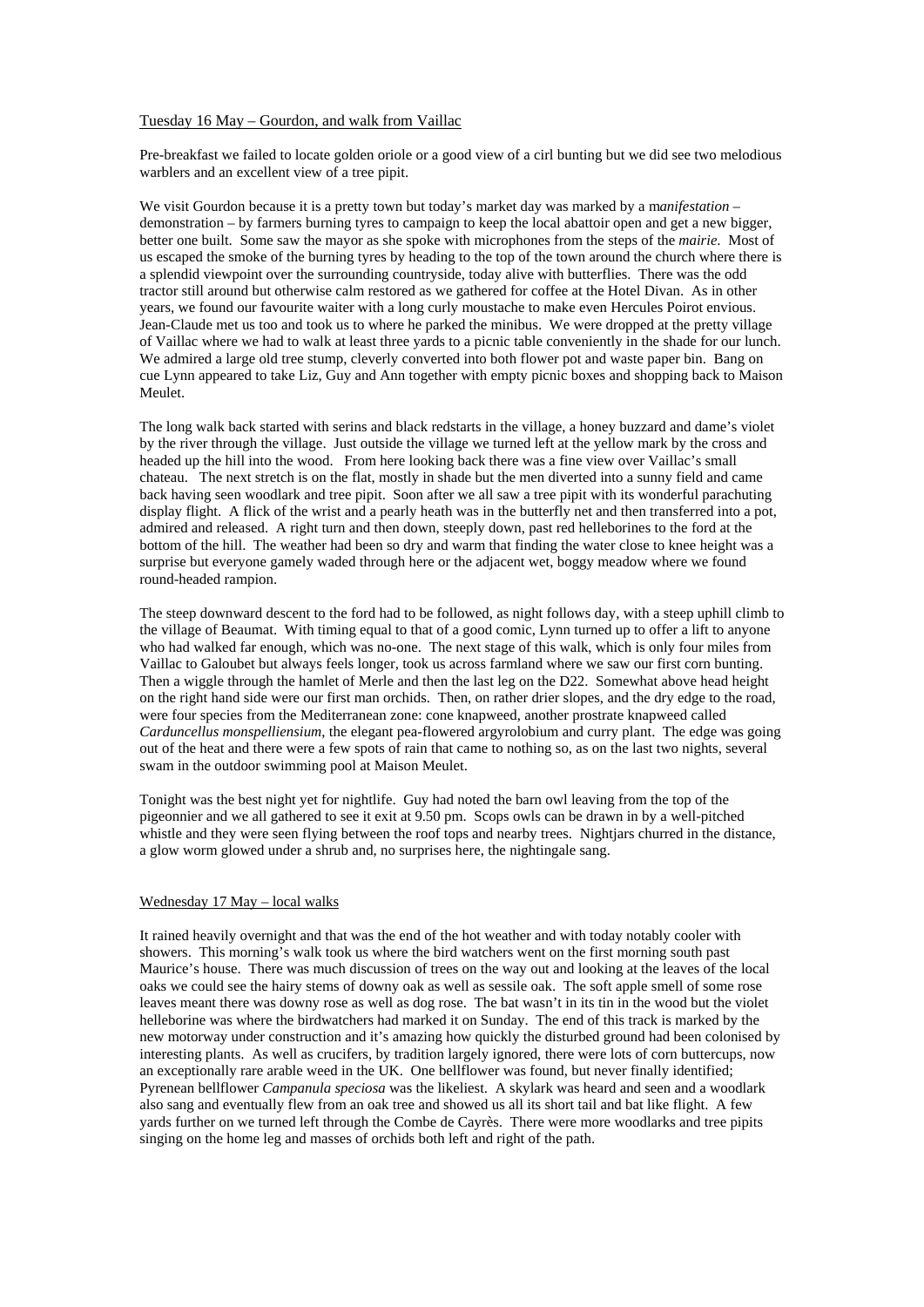### Tuesday 16 May – Gourdon, and walk from Vaillac

Pre-breakfast we failed to locate golden oriole or a good view of a cirl bunting but we did see two melodious warblers and an excellent view of a tree pipit.

We visit Gourdon because it is a pretty town but today's market day was marked by a m*anifestation* – demonstration – by farmers burning tyres to campaign to keep the local abattoir open and get a new bigger, better one built. Some saw the mayor as she spoke with microphones from the steps of the *mairie*. Most of us escaped the smoke of the burning tyres by heading to the top of the town around the church where there is a splendid viewpoint over the surrounding countryside, today alive with butterflies. There was the odd tractor still around but otherwise calm restored as we gathered for coffee at the Hotel Divan. As in other years, we found our favourite waiter with a long curly moustache to make even Hercules Poirot envious. Jean-Claude met us too and took us to where he parked the minibus. We were dropped at the pretty village of Vaillac where we had to walk at least three yards to a picnic table conveniently in the shade for our lunch. We admired a large old tree stump, cleverly converted into both flower pot and waste paper bin. Bang on cue Lynn appeared to take Liz, Guy and Ann together with empty picnic boxes and shopping back to Maison Meulet.

The long walk back started with serins and black redstarts in the village, a honey buzzard and dame's violet by the river through the village. Just outside the village we turned left at the yellow mark by the cross and headed up the hill into the wood. From here looking back there was a fine view over Vaillac's small chateau. The next stretch is on the flat, mostly in shade but the men diverted into a sunny field and came back having seen woodlark and tree pipit. Soon after we all saw a tree pipit with its wonderful parachuting display flight. A flick of the wrist and a pearly heath was in the butterfly net and then transferred into a pot, admired and released. A right turn and then down, steeply down, past red helleborines to the ford at the bottom of the hill. The weather had been so dry and warm that finding the water close to knee height was a surprise but everyone gamely waded through here or the adjacent wet, boggy meadow where we found round-headed rampion.

The steep downward descent to the ford had to be followed, as night follows day, with a steep uphill climb to the village of Beaumat. With timing equal to that of a good comic, Lynn turned up to offer a lift to anyone who had walked far enough, which was no-one. The next stage of this walk, which is only four miles from Vaillac to Galoubet but always feels longer, took us across farmland where we saw our first corn bunting. Then a wiggle through the hamlet of Merle and then the last leg on the D22. Somewhat above head height on the right hand side were our first man orchids. Then, on rather drier slopes, and the dry edge to the road, were four species from the Mediterranean zone: cone knapweed, another prostrate knapweed called *Carduncellus monspelliensium*, the elegant pea-flowered argyrolobium and curry plant. The edge was going out of the heat and there were a few spots of rain that came to nothing so, as on the last two nights, several swam in the outdoor swimming pool at Maison Meulet.

Tonight was the best night yet for nightlife. Guy had noted the barn owl leaving from the top of the pigeonnier and we all gathered to see it exit at 9.50 pm. Scops owls can be drawn in by a well-pitched whistle and they were seen flying between the roof tops and nearby trees. Nightjars churred in the distance, a glow worm glowed under a shrub and, no surprises here, the nightingale sang.

#### Wednesday 17 May – local walks

It rained heavily overnight and that was the end of the hot weather and with today notably cooler with showers. This morning's walk took us where the bird watchers went on the first morning south past Maurice's house. There was much discussion of trees on the way out and looking at the leaves of the local oaks we could see the hairy stems of downy oak as well as sessile oak. The soft apple smell of some rose leaves meant there was downy rose as well as dog rose. The bat wasn't in its tin in the wood but the violet helleborine was where the birdwatchers had marked it on Sunday. The end of this track is marked by the new motorway under construction and it's amazing how quickly the disturbed ground had been colonised by interesting plants. As well as crucifers, by tradition largely ignored, there were lots of corn buttercups, now an exceptionally rare arable weed in the UK. One bellflower was found, but never finally identified; Pyrenean bellflower *Campanula speciosa* was the likeliest. A skylark was heard and seen and a woodlark also sang and eventually flew from an oak tree and showed us all its short tail and bat like flight. A few yards further on we turned left through the Combe de Cayrès. There were more woodlarks and tree pipits singing on the home leg and masses of orchids both left and right of the path.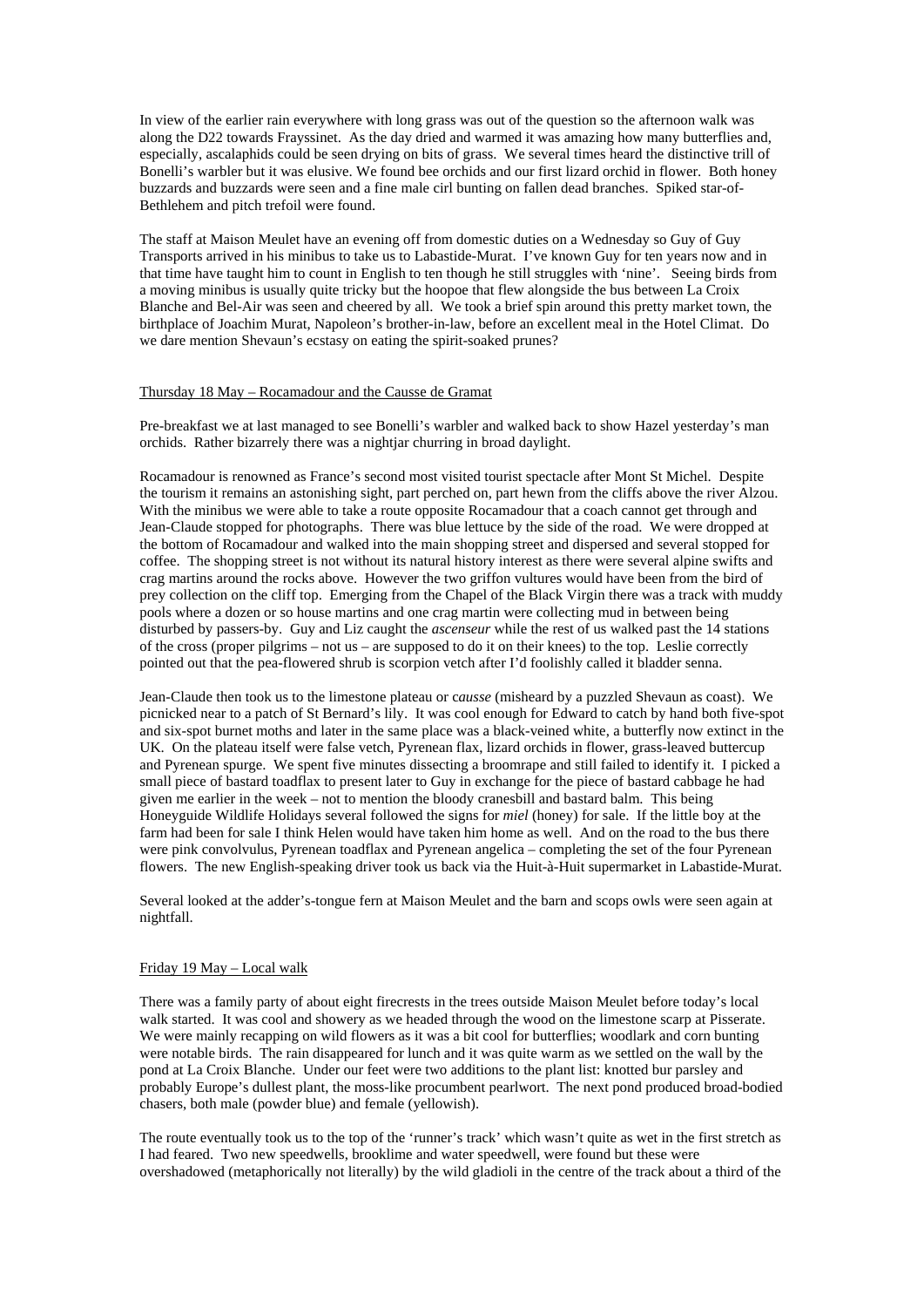In view of the earlier rain everywhere with long grass was out of the question so the afternoon walk was along the D22 towards Frayssinet. As the day dried and warmed it was amazing how many butterflies and, especially, ascalaphids could be seen drying on bits of grass. We several times heard the distinctive trill of Bonelli's warbler but it was elusive. We found bee orchids and our first lizard orchid in flower. Both honey buzzards and buzzards were seen and a fine male cirl bunting on fallen dead branches. Spiked star-of-Bethlehem and pitch trefoil were found.

The staff at Maison Meulet have an evening off from domestic duties on a Wednesday so Guy of Guy Transports arrived in his minibus to take us to Labastide-Murat. I've known Guy for ten years now and in that time have taught him to count in English to ten though he still struggles with 'nine'. Seeing birds from a moving minibus is usually quite tricky but the hoopoe that flew alongside the bus between La Croix Blanche and Bel-Air was seen and cheered by all. We took a brief spin around this pretty market town, the birthplace of Joachim Murat, Napoleon's brother-in-law, before an excellent meal in the Hotel Climat. Do we dare mention Shevaun's ecstasy on eating the spirit-soaked prunes?

#### Thursday 18 May – Rocamadour and the Causse de Gramat

Pre-breakfast we at last managed to see Bonelli's warbler and walked back to show Hazel yesterday's man orchids. Rather bizarrely there was a nightjar churring in broad daylight.

Rocamadour is renowned as France's second most visited tourist spectacle after Mont St Michel. Despite the tourism it remains an astonishing sight, part perched on, part hewn from the cliffs above the river Alzou. With the minibus we were able to take a route opposite Rocamadour that a coach cannot get through and Jean-Claude stopped for photographs. There was blue lettuce by the side of the road. We were dropped at the bottom of Rocamadour and walked into the main shopping street and dispersed and several stopped for coffee. The shopping street is not without its natural history interest as there were several alpine swifts and crag martins around the rocks above. However the two griffon vultures would have been from the bird of prey collection on the cliff top. Emerging from the Chapel of the Black Virgin there was a track with muddy pools where a dozen or so house martins and one crag martin were collecting mud in between being disturbed by passers-by. Guy and Liz caught the *ascenseur* while the rest of us walked past the 14 stations of the cross (proper pilgrims – not us – are supposed to do it on their knees) to the top. Leslie correctly pointed out that the pea-flowered shrub is scorpion vetch after I'd foolishly called it bladder senna.

Jean-Claude then took us to the limestone plateau or c*ausse* (misheard by a puzzled Shevaun as coast). We picnicked near to a patch of St Bernard's lily. It was cool enough for Edward to catch by hand both five-spot and six-spot burnet moths and later in the same place was a black-veined white, a butterfly now extinct in the UK. On the plateau itself were false vetch, Pyrenean flax, lizard orchids in flower, grass-leaved buttercup and Pyrenean spurge. We spent five minutes dissecting a broomrape and still failed to identify it. I picked a small piece of bastard toadflax to present later to Guy in exchange for the piece of bastard cabbage he had given me earlier in the week – not to mention the bloody cranesbill and bastard balm. This being Honeyguide Wildlife Holidays several followed the signs for *miel* (honey) for sale. If the little boy at the farm had been for sale I think Helen would have taken him home as well. And on the road to the bus there were pink convolvulus, Pyrenean toadflax and Pyrenean angelica – completing the set of the four Pyrenean flowers. The new English-speaking driver took us back via the Huit-à-Huit supermarket in Labastide-Murat.

Several looked at the adder's-tongue fern at Maison Meulet and the barn and scops owls were seen again at nightfall.

#### Friday 19 May – Local walk

There was a family party of about eight firecrests in the trees outside Maison Meulet before today's local walk started. It was cool and showery as we headed through the wood on the limestone scarp at Pisserate. We were mainly recapping on wild flowers as it was a bit cool for butterflies; woodlark and corn bunting were notable birds. The rain disappeared for lunch and it was quite warm as we settled on the wall by the pond at La Croix Blanche. Under our feet were two additions to the plant list: knotted bur parsley and probably Europe's dullest plant, the moss-like procumbent pearlwort. The next pond produced broad-bodied chasers, both male (powder blue) and female (yellowish).

The route eventually took us to the top of the 'runner's track' which wasn't quite as wet in the first stretch as I had feared. Two new speedwells, brooklime and water speedwell, were found but these were overshadowed (metaphorically not literally) by the wild gladioli in the centre of the track about a third of the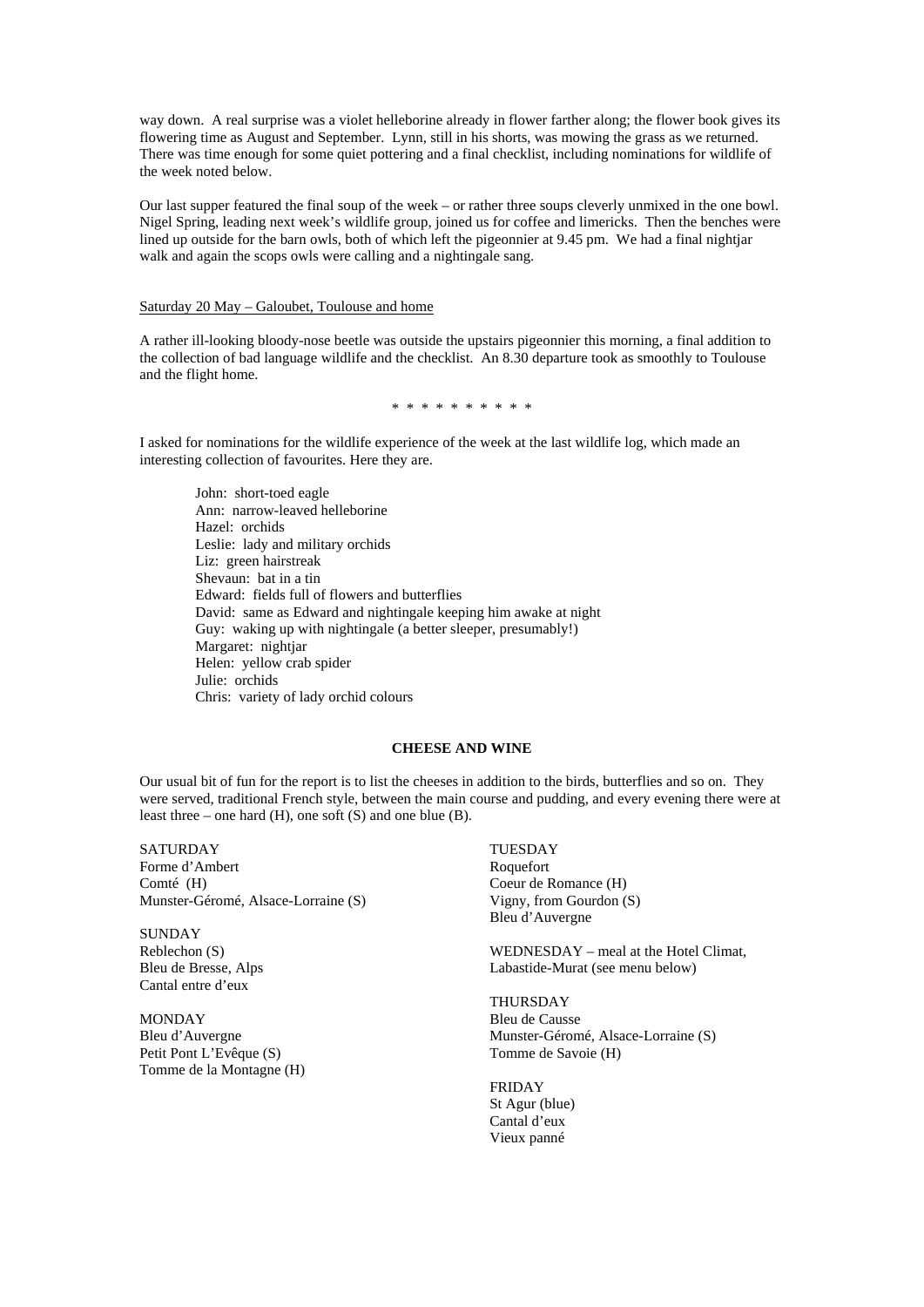way down. A real surprise was a violet helleborine already in flower farther along; the flower book gives its flowering time as August and September. Lynn, still in his shorts, was mowing the grass as we returned. There was time enough for some quiet pottering and a final checklist, including nominations for wildlife of the week noted below.

Our last supper featured the final soup of the week – or rather three soups cleverly unmixed in the one bowl. Nigel Spring, leading next week's wildlife group, joined us for coffee and limericks. Then the benches were lined up outside for the barn owls, both of which left the pigeonnier at 9.45 pm. We had a final nightjar walk and again the scops owls were calling and a nightingale sang.

## Saturday 20 May – Galoubet, Toulouse and home

A rather ill-looking bloody-nose beetle was outside the upstairs pigeonnier this morning, a final addition to the collection of bad language wildlife and the checklist. An 8.30 departure took as smoothly to Toulouse and the flight home.

\* \* \* \* \* \* \* \* \* \*

I asked for nominations for the wildlife experience of the week at the last wildlife log, which made an interesting collection of favourites. Here they are.

John: short-toed eagle Ann: narrow-leaved helleborine Hazel: orchids Leslie: lady and military orchids Liz: green hairstreak Shevaun: bat in a tin Edward: fields full of flowers and butterflies David: same as Edward and nightingale keeping him awake at night Guy: waking up with nightingale (a better sleeper, presumably!) Margaret: nightiar Helen: yellow crab spider Julie: orchids Chris: variety of lady orchid colours

# **CHEESE AND WINE**

Our usual bit of fun for the report is to list the cheeses in addition to the birds, butterflies and so on. They were served, traditional French style, between the main course and pudding, and every evening there were at least three – one hard (H), one soft (S) and one blue (B).

## SATURDAY Forme d'Ambert Comté (H) Munster-Géromé, Alsace-Lorraine (S)

SUNDAY Reblechon (S) Bleu de Bresse, Alps Cantal entre d'eux

MONDAY Bleu d'Auvergne Petit Pont L'Evêque (S) Tomme de la Montagne (H) TUESDAY Roquefort Coeur de Romance (H) Vigny, from Gourdon (S) Bleu d'Auvergne

WEDNESDAY – meal at the Hotel Climat, Labastide-Murat (see menu below)

THURSDAY Bleu de Causse Munster-Géromé, Alsace-Lorraine (S) Tomme de Savoie (H)

FRIDAY St Agur (blue) Cantal d'eux Vieux panné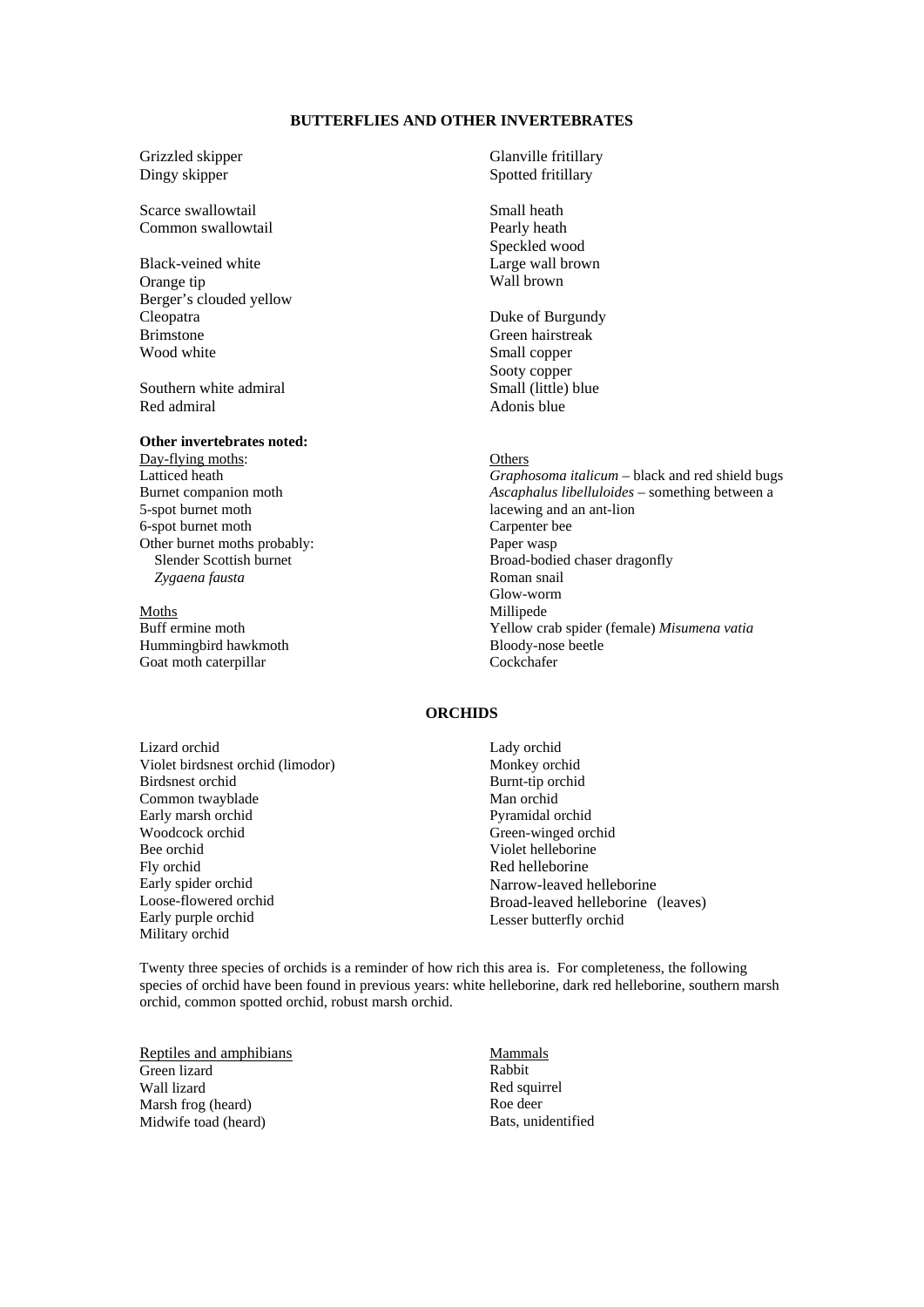# **BUTTERFLIES AND OTHER INVERTEBRATES**

Grizzled skipper Dingy skipper

Scarce swallowtail Common swallowtail

Black-veined white Orange tip Berger's clouded yellow Cleopatra Brimstone Wood white

Southern white admiral Red admiral

# **Other invertebrates noted:**

Day-flying moths: Latticed heath Burnet companion moth 5-spot burnet moth 6-spot burnet moth Other burnet moths probably: Slender Scottish burnet *Zygaena fausta*

## Moths

Buff ermine moth Hummingbird hawkmoth Goat moth caterpillar

Glanville fritillary Spotted fritillary

Small heath Pearly heath Speckled wood Large wall brown Wall brown

Duke of Burgundy Green hairstreak Small copper Sooty copper Small (little) blue Adonis blue

#### **Others**

*Graphosoma italicum* – black and red shield bugs *Ascaphalus libelluloides* – something between a lacewing and an ant-lion Carpenter bee Paper wasp Broad-bodied chaser dragonfly Roman snail Glow-worm Millipede Yellow crab spider (female) *Misumena vatia*  Bloody-nose beetle Cockchafer

# **ORCHIDS**

Lizard orchid Violet birdsnest orchid (limodor) Birdsnest orchid Common twayblade Early marsh orchid Woodcock orchid Bee orchid Fly orchid Early spider orchid Loose-flowered orchid Early purple orchid Military orchid

Lady orchid Monkey orchid Burnt-tip orchid Man orchid Pyramidal orchid Green-winged orchid Violet helleborine Red helleborine Narrow-leaved helleborine Broad-leaved helleborine (leaves) Lesser butterfly orchid

Twenty three species of orchids is a reminder of how rich this area is. For completeness, the following species of orchid have been found in previous years: white helleborine, dark red helleborine, southern marsh orchid, common spotted orchid, robust marsh orchid.

Reptiles and amphibians Green lizard Wall lizard Marsh frog (heard) Midwife toad (heard)

Mammals Rabbit Red squirrel Roe deer Bats, unidentified